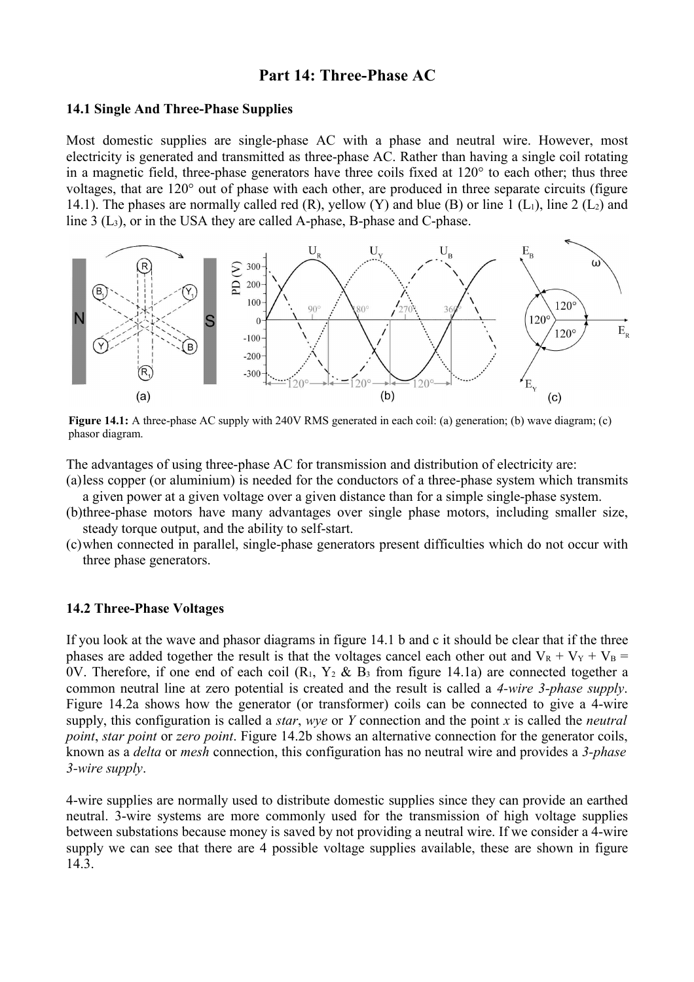# **Part 14: Three-Phase AC**

## **14.1 Single And Three-Phase Supplies**

Most domestic supplies are single-phase AC with a phase and neutral wire. However, most electricity is generated and transmitted as three-phase AC. Rather than having a single coil rotating in a magnetic field, three-phase generators have three coils fixed at 120° to each other; thus three voltages, that are 120° out of phase with each other, are produced in three separate circuits (figure 14.1). The phases are normally called red  $(R)$ , yellow  $(Y)$  and blue  $(B)$  or line 1  $(L_1)$ , line 2  $(L_2)$  and line 3 (L3), or in the USA they are called A-phase, B-phase and C-phase.



**Figure 14.1:** A three-phase AC supply with 240V RMS generated in each coil: (a) generation; (b) wave diagram; (c) phasor diagram.

The advantages of using three-phase AC for transmission and distribution of electricity are:

(a)less copper (or aluminium) is needed for the conductors of a three-phase system which transmits a given power at a given voltage over a given distance than for a simple single-phase system.

(b)three-phase motors have many advantages over single phase motors, including smaller size, steady torque output, and the ability to self-start.

(c)when connected in parallel, single-phase generators present difficulties which do not occur with three phase generators.

## **14.2 Three-Phase Voltages**

If you look at the wave and phasor diagrams in figure 14.1 b and c it should be clear that if the three phases are added together the result is that the voltages cancel each other out and  $V_R + V_Y + V_B =$ 0V. Therefore, if one end of each coil  $(R_1, Y_2 \& B_3)$  from figure 14.1a) are connected together a common neutral line at zero potential is created and the result is called a *4-wire 3-phase supply*. Figure 14.2a shows how the generator (or transformer) coils can be connected to give a 4-wire supply, this configuration is called a *star*, *wye* or *Y* connection and the point *x* is called the *neutral point*, *star point* or *zero point*. Figure 14.2b shows an alternative connection for the generator coils, known as a *delta* or *mesh* connection, this configuration has no neutral wire and provides a *3-phase 3-wire supply*.

4-wire supplies are normally used to distribute domestic supplies since they can provide an earthed neutral. 3-wire systems are more commonly used for the transmission of high voltage supplies between substations because money is saved by not providing a neutral wire. If we consider a 4-wire supply we can see that there are 4 possible voltage supplies available, these are shown in figure 14.3.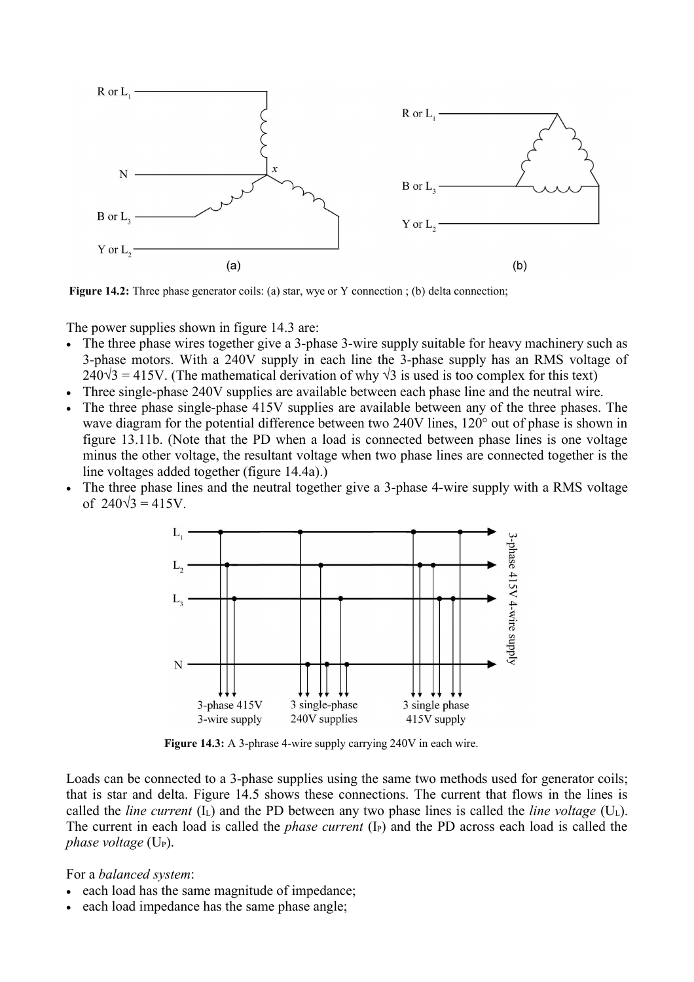

**Figure 14.2:** Three phase generator coils: (a) star, wye or Y connection; (b) delta connection;

The power supplies shown in figure 14.3 are:

- The three phase wires together give a 3-phase 3-wire supply suitable for heavy machinery such as 3-phase motors. With a 240V supply in each line the 3-phase supply has an RMS voltage of  $240\sqrt{3} = 415V$ . (The mathematical derivation of why  $\sqrt{3}$  is used is too complex for this text)
- Three single-phase 240V supplies are available between each phase line and the neutral wire.
- The three phase single-phase 415V supplies are available between any of the three phases. The wave diagram for the potential difference between two 240V lines, 120° out of phase is shown in figure 13.11b. (Note that the PD when a load is connected between phase lines is one voltage minus the other voltage, the resultant voltage when two phase lines are connected together is the line voltages added together (figure 14.4a).)
- The three phase lines and the neutral together give a 3-phase 4-wire supply with a RMS voltage of  $240\sqrt{3} = 415V$ .



**Figure 14.3:** A 3-phrase 4-wire supply carrying 240V in each wire.

Loads can be connected to a 3-phase supplies using the same two methods used for generator coils; that is star and delta. Figure 14.5 shows these connections. The current that flows in the lines is called the *line current*  $(I<sub>L</sub>)$  and the PD between any two phase lines is called the *line voltage*  $(U<sub>L</sub>)$ . The current in each load is called the *phase current* (I<sub>P</sub>) and the PD across each load is called the *phase voltage* (U<sub>P</sub>).

For a *balanced system*:

- each load has the same magnitude of impedance;
- each load impedance has the same phase angle;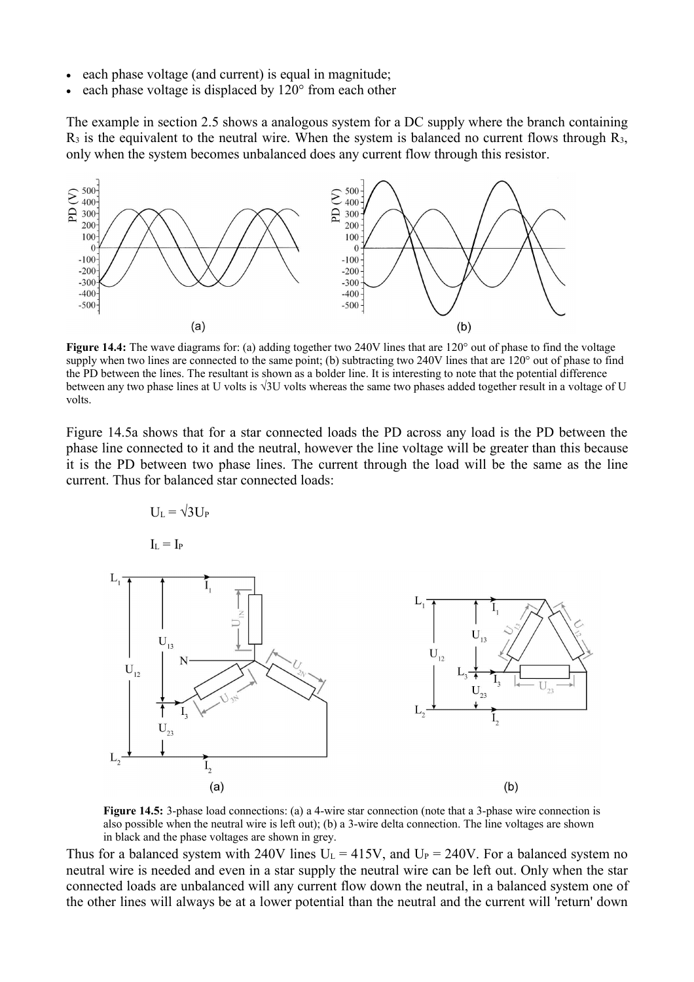- each phase voltage (and current) is equal in magnitude;
- each phase voltage is displaced by 120° from each other

The example in section 2.5 shows a analogous system for a DC supply where the branch containing  $R_3$  is the equivalent to the neutral wire. When the system is balanced no current flows through  $R_3$ , only when the system becomes unbalanced does any current flow through this resistor.



**Figure 14.4:** The wave diagrams for: (a) adding together two 240V lines that are 120° out of phase to find the voltage supply when two lines are connected to the same point; (b) subtracting two 240V lines that are 120° out of phase to find the PD between the lines. The resultant is shown as a bolder line. It is interesting to note that the potential difference between any two phase lines at U volts is √3U volts whereas the same two phases added together result in a voltage of U volts.

Figure 14.5a shows that for a star connected loads the PD across any load is the PD between the phase line connected to it and the neutral, however the line voltage will be greater than this because it is the PD between two phase lines. The current through the load will be the same as the line current. Thus for balanced star connected loads:

$$
U_{\rm L} = \sqrt{3} U_{\rm P}
$$

 $I_{L} = I_{P}$ 



**Figure 14.5:** 3-phase load connections: (a) a 4-wire star connection (note that a 3-phase wire connection is also possible when the neutral wire is left out); (b) a 3-wire delta connection. The line voltages are shown in black and the phase voltages are shown in grey.

Thus for a balanced system with 240V lines  $U_L = 415V$ , and  $U_P = 240V$ . For a balanced system no neutral wire is needed and even in a star supply the neutral wire can be left out. Only when the star connected loads are unbalanced will any current flow down the neutral, in a balanced system one of the other lines will always be at a lower potential than the neutral and the current will 'return' down